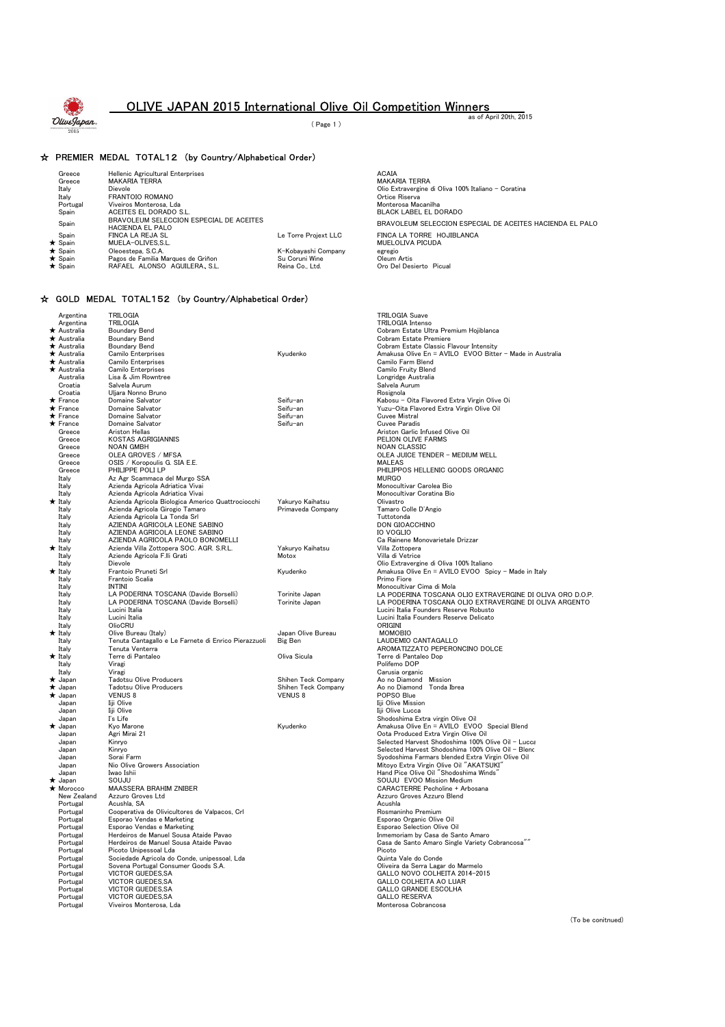

### OLIVE JAPAN 2015 International Olive Oil Competition Winners as of April 20th, 2015

( Page 1 )

#### ☆ PREMIER MEDAL TOTAL12 (by Country/Alphabetical Order)

| Greece                                  | <b>Hellenic Agricultural Enterprises</b>                           |                                             | <b>ACAIA</b>                                                    |
|-----------------------------------------|--------------------------------------------------------------------|---------------------------------------------|-----------------------------------------------------------------|
| Greece                                  | <b>MAKARIA TERRA</b>                                               |                                             | <b>MAKARIA TERRA</b>                                            |
| Italy                                   | Dievole                                                            |                                             | Olio Extravergine di Oliva 100% Ita                             |
| Italy                                   | FRANTOIO ROMANO                                                    |                                             | Ortice Riserva                                                  |
| Portugal                                | Viveiros Monterosa, Lda                                            |                                             | Monterosa Macanilha                                             |
| Spain                                   | ACEITES EL DORADO S.L.                                             |                                             | <b>BLACK LABEL EL DORADO</b>                                    |
| Spain                                   | BRAVOLEUM SELECCION ESPECIAL DE ACEITES<br><b>HACIENDA EL PALO</b> |                                             | BRAVOLEUM SELECCION ESPEC                                       |
| Spain<br>$\star$ Spain<br>$\star$ Spain | FINCA LA REJA SL<br>MUELA-OLIVES.S.L.<br>Oleoestepa, S.C.A.        | Le Torre Projext LLC<br>K-Kobavashi Company | FINCA LA TORRE HOJIBLANCA<br><b>MUELOLIVA PICUDA</b><br>egregio |
| $\star$ Spain                           | Pagos de Familia Marques de Griñon                                 | Su Coruni Wine                              | Oleum Artis                                                     |
| $\star$ Spain                           | RAFAEL ALONSO AGUILERA, S.L.                                       | Reina Co., Ltd.                             | Oro Del Desierto Picual                                         |

### ☆ GOLD MEDAL TOTAL152 (by Country/Alphabetical Order)

| Argentina            | <b>TRILOGIA</b>                                      |                     | <b>TRILOGIA Suave</b>                                    |
|----------------------|------------------------------------------------------|---------------------|----------------------------------------------------------|
| Argentina            | <b>TRILOGIA</b>                                      |                     | <b>TRILOGIA</b> Intenso                                  |
| $\bigstar$ Australia | <b>Boundary Bend</b>                                 |                     | Cobram Estate Ultra Premium Hojiblanca                   |
| $\star$ Australia    | <b>Boundary Bend</b>                                 |                     | Cobram Estate Premiere                                   |
| * Australia          | <b>Boundary Bend</b>                                 |                     | Cobram Estate Classic Flavour Intensity                  |
| ★ Australia          | Camilo Enterprises                                   | Kyudenko            | Amakusa Olive En = AVILO EVOO Bitter - Made in Australia |
| ★ Australia          | Camilo Enterprises                                   |                     | Camilo Farm Blend                                        |
| ★ Australia          | <b>Camilo Enterprises</b>                            |                     | <b>Camilo Fruity Blend</b>                               |
| Australia            | Lisa & Jim Rowntree                                  |                     | Longridge Australia                                      |
| Croatia              | Salvela Aurum                                        |                     | Salvela Aurum                                            |
| Croatia              | Uljara Nonno Bruno                                   |                     | Rosignola                                                |
| $\bigstar$ France    | Domaine Salvator                                     | Seifu-an            | Kabosu - Oita Flavored Extra Virgin Olive Oi             |
| $\star$ France       | Domaine Salvator                                     | Seifu-an            | Yuzu-Oita Flavored Extra Virgin Olive Oil                |
| $\hat{\star}$ France | Domaine Salvator                                     | Seifu-an            | <b>Cuvee Mistral</b>                                     |
| $\star$ France       | Domaine Salvator                                     | Seifu-an            | <b>Cuvee Paradis</b>                                     |
| Greece               | Ariston Hellas                                       |                     | Ariston Garlic Infused Olive Oil                         |
| Greece               | <b>KOSTAS AGRIGIANNIS</b>                            |                     | PELION OLIVE FARMS                                       |
| Greece               | <b>NOAN GMBH</b>                                     |                     | <b>NOAN CLASSIC</b>                                      |
| Greece               | OLEA GROVES / MFSA                                   |                     | OLEA JUICE TENDER - MEDIUM WELL                          |
| Greece               | OSIS / Koropoulis G. SIA E.E.                        |                     | <b>MALEAS</b>                                            |
| Greece               | PHILIPPE POLI LP                                     |                     | PHILIPPOS HELLENIC GOODS ORGANIC                         |
| Italy                | Az Agr Scammaca del Murgo SSA                        |                     | <b>MURGO</b>                                             |
|                      | Azienda Agricola Adriatica Vivai                     |                     | Monocultivar Carolea Bio                                 |
| Italy                | Azienda Agricola Adriatica Vivai                     |                     | Monocultivar Coratina Bio                                |
| Italy                |                                                      |                     | Olivastro                                                |
| $\star$ Italy        | Azienda Agricola Biologica Americo Quattrociocchi    | Yakuryo Kaihatsu    |                                                          |
| Italy                | Azienda Agricola Girogio Tamaro                      | Primaveda Company   | Tamaro Colle D'Angio                                     |
| Italy                | Azienda Agricola La Tonda Srl                        |                     | Tuttotonda                                               |
| Italy                | AZIENDA AGRICOLA LEONE SABINO                        |                     | DON GIOACCHINO                                           |
| Italy                | AZIENDA AGRICOLA LEONE SABINO                        |                     | <b>IO VOGLIO</b>                                         |
| Italy                | AZIENDA AGRICOLA PAOLO BONOMELLI                     |                     | Ca Rainene Monovarietale Drizzar                         |
| $\star$ Italy        | Azienda Villa Zottopera SOC. AGR. S.R.L.             | Yakuryo Kaihatsu    | Villa Zottopera                                          |
| Italv                | Aziende Agricola F.lli Grati                         | Motox               | Villa di Vetrice                                         |
| Italy                | Dievole                                              |                     | Olio Extravergine di Oliva 100% Italiano                 |
| $\star$ Italy        | Frantoio Pruneti Srl                                 | Kyudenko            | Amakusa Olive En = AVILO EVOO Spicy - Made in Italy      |
| Italy                | Frantoio Scalia                                      |                     | Primo Fiore                                              |
| Italy                | INTINI                                               |                     | Monocultivar Cima di Mola                                |
| Italy                | LA PODERINA TOSCANA (Davide Borselli)                | Torinite Japan      | LA PODERINA TOSCANA OLIO EXTRAVERGINE DI OLIVA ORO D.O.P |
| Italy                | LA PODERINA TOSCANA (Davide Borselli)                | Torinite Japan      | LA PODERINA TOSCANA OLIO EXTRAVERGINE DI OLIVA ARGENTO   |
| Italy                | Lucini Italia                                        |                     | Lucini Italia Founders Reserve Robusto                   |
| Italy                | Lucini Italia                                        |                     | Lucini Italia Founders Reserve Delicato                  |
| Italy                | OlioCRU                                              |                     | ORIGINI                                                  |
| $\star$ Italy        | Olive Bureau (Italy)                                 | Japan Olive Bureau  | MOMOBIO                                                  |
| Italy                | Tenuta Cantagallo e Le Farnete di Enrico Pierazzuoli | <b>Big Ben</b>      | LAUDEMIO CANTAGALLO                                      |
| Italy                | Tenuta Venterra                                      |                     | AROMATIZZATO PEPERONCINO DOLCE                           |
| $\star$ Italy        | Terre di Pantaleo                                    | Oliva Sicula        | Terre di Pantaleo Dop                                    |
| Italv                | Viragi                                               |                     | Polifemo DOP                                             |
| Italy                | Viragi                                               |                     | Carusia organic                                          |
| $\star$ Japan        | <b>Tadotsu Olive Producers</b>                       | Shihen Teck Company | Ao no Diamond Mission                                    |
| $\star$ Japan        | <b>Tadotsu Olive Producers</b>                       | Shihen Teck Company | Ao no Diamond Tonda Ibrea                                |
| $\star$ Japan        | <b>VENUS 8</b>                                       | <b>VENUS 8</b>      | POPSO Blue                                               |
| Japan                | Iiji Olive                                           |                     | Iiji Olive Mission                                       |
| Japan                | Iiji Olive                                           |                     | Iiji Olive Lucca                                         |
| Japan                | I's Life                                             |                     | Shodoshima Extra virgin Olive Oil                        |
| $\star$ Japan        | Kyo Marone                                           | Kyudenko            | Amakusa Olive En = AVILO EVOO Special Blend              |
| Japan                | Agri Mirai 21                                        |                     | Oota Produced Extra Virgin Olive Oil                     |
| Japan                | Kinryo                                               |                     | Selected Harvest Shodoshima 100% Olive Oil - Lucca       |
| Japan                | Kinryo                                               |                     | Selected Harvest Shodoshima 100% Olive Oil - Blend       |
| Japan                | Sorai Farm                                           |                     | Syodoshima Farmars blended Extra Virgin Olive Oil        |
| Japan                | Nio Olive Growers Association                        |                     | Mitoyo Extra Virgin Olive Oil "AKATSUKI"                 |
| Japan                | Iwao Ishii                                           |                     | Hand Pice Olive Oil "Shodoshima Winds"                   |
| $\star$ Japan        | SOUJU                                                |                     | SOUJU EVOO Mission Medium                                |
| * Morocco            | <b>MAASSERA BRAHIM ZNIBER</b>                        |                     | CARACTERRE Pecholine + Arbosana                          |
| New Zealand          | Azzuro Groves Ltd                                    |                     | Azzuro Groves Azzuro Blend                               |
| Portugal             | Acushla, SA                                          |                     | Acushla                                                  |
| Portugal             | Cooperativa de Olivicultores de Valpacos, Crl        |                     | Rosmaninho Premium                                       |
| Portugal             | Esporao Vendas e Marketing                           |                     | Esporao Organic Olive Oil                                |
| Portugal             | Esporao Vendas e Marketing                           |                     | Esporao Selection Olive Oil                              |
| Portugal             | Herdeiros de Manuel Sousa Ataide Pavao               |                     | Inmemoriam by Casa de Santo Amaro                        |
| Portugal             | Herdeiros de Manuel Sousa Ataide Pavao               |                     | Casa de Santo Amaro Single Variety Cobrancosa"           |
| Portugal             | Picoto Unipessoal Lda                                |                     | Picoto                                                   |
| Portugal             | Sociedade Agricola do Conde, unipessoal, Lda         |                     | Quinta Vale do Conde                                     |
| Portugal             | Sovena Portugal Consumer Goods S.A.                  |                     | Oliveira da Serra Lagar do Marmelo                       |
|                      | VICTOR GUEDES, SA                                    |                     | GALLO NOVO COLHEITA 2014-2015                            |
| Portugal             | <b>VICTOR GUEDES.SA</b>                              |                     | <b>GALLO COLHEITA AO LUAR</b>                            |
| Portugal             | <b>VICTOR GUEDES.SA</b>                              |                     | <b>GALLO GRANDE ESCOLHA</b>                              |
| Portugal             | <b>VICTOR GUEDES.SA</b>                              |                     | <b>GALLO RESERVA</b>                                     |
| Portugal             |                                                      |                     |                                                          |
| Portugal             | Viveiros Monterosa, Lda                              |                     | Monterosa Cobrancosa                                     |

ACAIA<br>MAKARIA TERRA Italy Dievole Olio Extravergine di Oliva 100% Italiano - Coratina Ortice Riserva Portugal Viveiros Monterosa, Lda Monterosa Macanilha Nonterosa Macarillia<br>BLACK LABEL EL DORADO BRAVOLEUM SELECCION ESPECIAL DE ACEITES HACIENDA EL PALO

(To be conitnued)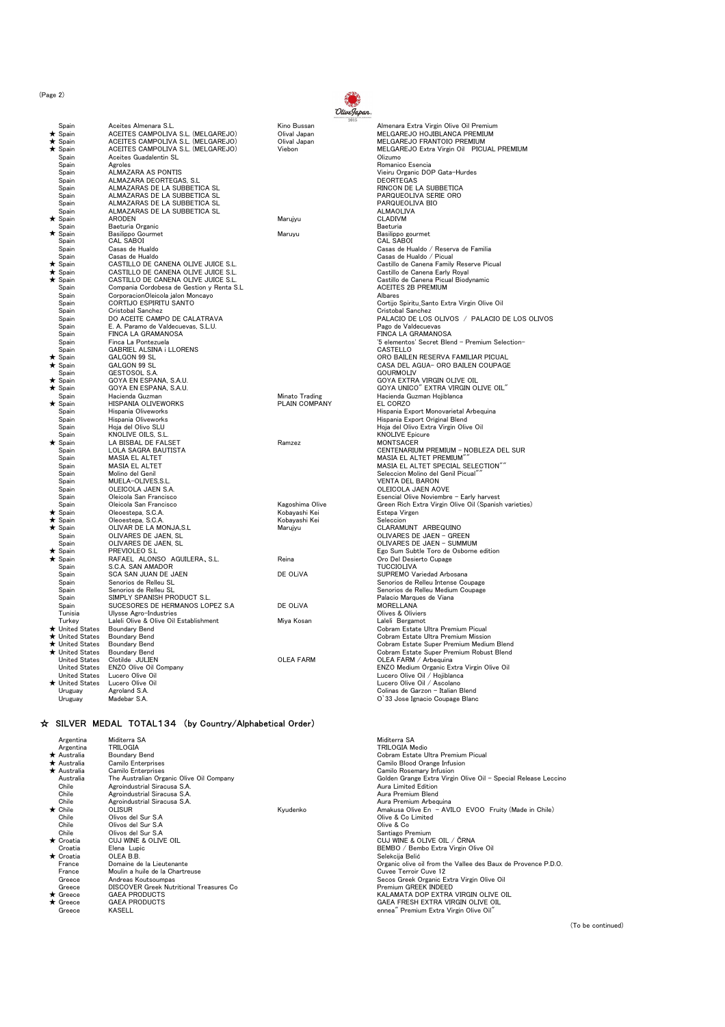(Page 2)

|          |                      |                                           | 2015             |                                                       |
|----------|----------------------|-------------------------------------------|------------------|-------------------------------------------------------|
|          | Spain                | Aceites Almenara S.L.                     | Kino Bussan      | Almenara Extra Virgin Olive Oil Premium               |
|          | $\star$ Spain        | ACEITES CAMPOLIVA S.L. (MELGAREJO)        | Olival Japan     | MELGAREJO HOJIBLANCA PREMIUM                          |
|          |                      | ACEITES CAMPOLIVA S.L. (MELGAREJO)        | Olival Japan     | MELGAREJO FRANTOIO PREMIUM                            |
|          | $\star$ Spain        |                                           |                  |                                                       |
|          | $\star$ Spain        | ACEITES CAMPOLIVA S.L. (MELGAREJO)        | Viebon           | MELGAREJO Extra Virgin Oil PICUAL PREMIUM             |
|          | Spain                | Aceites Guadalentin SL                    |                  | Olizumo                                               |
|          | Spain                | Agroles                                   |                  | Romanico Esencia                                      |
|          | Spain                | <b>ALMAZARA AS PONTIS</b>                 |                  | Vieiru Organic DOP Gata-Hurdes                        |
|          | Spain                | ALMAZARA DEORTEGAS, S.L.                  |                  | <b>DEORTEGAS</b>                                      |
|          |                      |                                           |                  |                                                       |
|          | Spain                | ALMAZARAS DE LA SUBBETICA SL              |                  | RINCON DE LA SUBBETICA                                |
|          | Spain                | ALMAZARAS DE LA SUBBETICA SL              |                  | PARQUEOLIVA SERIE ORO                                 |
|          | Spain                | ALMAZARAS DE LA SUBBETICA SL              |                  | PARQUEOLIVA BIO                                       |
|          | Spain                | ALMAZARAS DE LA SUBBETICA SL              |                  | <b>ALMAOLIVA</b>                                      |
|          |                      | <b>ARODEN</b>                             |                  | <b>CLADIVM</b>                                        |
| *        | Spain                |                                           | Marujyu          |                                                       |
|          | Spain                | Baeturia Organic                          |                  | Baeturia                                              |
| *        | Spain                | Basilippo Gourmet                         | Maruyu           | Basilippo gourmet                                     |
|          | Spain                | <b>CAL SABOI</b>                          |                  | <b>CAL SABOI</b>                                      |
|          | Spain                | Casas de Hualdo                           |                  | Casas de Hualdo / Reserva de Familia                  |
|          |                      | Casas de Hualdo                           |                  | Casas de Hualdo / Picual                              |
|          | Spain                |                                           |                  |                                                       |
|          | Spain                | CASTILLO DE CANENA OLIVE JUICE S.L.       |                  | Castillo de Canena Family Reserve Picual              |
| *        | Spain                | CASTILLO DE CANENA OLIVE JUICE S.L.       |                  | Castillo de Canena Early Royal                        |
| $^\star$ | Spain                | CASTILLO DE CANENA OLIVE JUICE S.L.       |                  | Castillo de Canena Picual Biodynamic                  |
|          | Spain                | Compania Cordobesa de Gestion y Renta S.L |                  | <b>ACEITES 2B PREMIUM</b>                             |
|          | Spain                |                                           |                  | Albares                                               |
|          |                      | CorporacionOleicola jalon Moncayo         |                  |                                                       |
|          | Spain                | CORTIJO ESPIRITU SANTO                    |                  | Cortijo Spiritu_Santo Extra Virgin Olive Oil          |
|          | Spain                | Cristobal Sanchez                         |                  | Cristobal Sanchez                                     |
|          | Spain                | DO ACEITE CAMPO DE CALATRAVA              |                  | PALACIO DE LOS OLIVOS / PALACIO DE LOS OLIVOS         |
|          | Spain                |                                           |                  |                                                       |
|          |                      | E. A. Paramo de Valdecuevas, S.L.U.       |                  | Pago de Valdecuevas                                   |
|          | Spain                | FINCA LA GRAMANOSA                        |                  | FINCA LA GRAMANOSA                                    |
|          | Spain                | Finca La Pontezuela                       |                  | '5 elementos' Secret Blend - Premium Selection-       |
|          | Spain                | <b>GABRIEL ALSINA i LLORENS</b>           |                  | <b>CASTELLO</b>                                       |
| *        | Spain                | GALGON 99 SL                              |                  | ORO BAILEN RESERVA FAMILIAR PICUAL                    |
|          |                      |                                           |                  |                                                       |
|          | $\star$ Spain        | <b>GALGON 99 SL</b>                       |                  | CASA DEL AGUA- ORO BAILEN COUPAGE                     |
|          | Spain                | GESTOSOL S.A.                             |                  | <b>GOURMOLIV</b>                                      |
| *        | Spain                | GOYA EN ESPANA, S.A.U.                    |                  | GOYA EXTRA VIRGIN OLIVE OIL                           |
|          | $\star$ Spain        | GOYA EN ESPANA, S.A.U.                    |                  | GOYA UNICO" EXTRA VIRGIN OLIVE OIL"                   |
|          | Spain                | Hacienda Guzman                           | Minato Trading   | Hacienda Guzman Hojiblanca                            |
|          |                      |                                           |                  |                                                       |
| *        | Spain                | HISPANIA OLIVEWORKS                       | PLAIN COMPANY    | EL CORZO                                              |
|          | Spain                | Hispania Oliveworks                       |                  | Hispania Export Monovarietal Arbequina                |
|          | Spain                | Hispania Oliveworks                       |                  | Hispania Export Original Blend                        |
|          | Spain                | Hoja del Olivo SLU                        |                  | Hoja del Olivo Extra Virgin Olive Oil                 |
|          |                      | KNOLIVE OILS, S.L.                        |                  |                                                       |
|          | Spain                |                                           |                  | <b>KNOLIVE Epicure</b>                                |
| *        | Spain                | LA BISBAL DE FALSET                       | Ramzez           | <b>MONTSACER</b>                                      |
|          | Spain                | <b>LOLA SAGRA BAUTISTA</b>                |                  | CENTENARIUM PREMIUM - NOBLEZA DEL SUR                 |
|          | Spain                | <b>MASIA EL ALTET</b>                     |                  | MASIA EL ALTET PREMIUM"                               |
|          | Spain                | MASIA EL ALTET                            |                  | MASIA EL ALTET SPECIAL SELECTION""                    |
|          |                      |                                           |                  |                                                       |
|          | Spain                | Molino del Genil                          |                  | Seleccion Molino del Genil Picual"                    |
|          | Spain                | MUELA-OLIVES, S.L.                        |                  | <b>VENTA DEL BARON</b>                                |
|          | Spain                | OLEICOLA JAEN S.A.                        |                  | OLEICOLA JAEN AOVE                                    |
|          | Spain                | Oleicola San Francisco                    |                  | Esencial Olive Noviembre - Early harvest              |
|          | Spain                | Oleicola San Francisco                    | Kagoshima Olive  | Green Rich Extra Virgin Olive Oil (Spanish varieties) |
|          |                      |                                           |                  |                                                       |
|          | $\star$ Spain        | Oleoestepa, S.C.A.                        | Kobayashi Kei    | Estepa Virgen                                         |
|          | $\star$ Spain        | Oleoestepa, S.C.A.                        | Kobayashi Kei    | Seleccion                                             |
|          | $\star$ Spain        | OLIVAR DE LA MONJA,S.L                    | Marujyu          | CLARAMUNT ARBEQUINO                                   |
|          | Spain                | OLIVARES DE JAEN, SL                      |                  | OLIVARES DE JAEN - GREEN                              |
|          | Spain                | OLIVARES DE JAEN, SL                      |                  | OLIVARES DE JAEN - SUMMUM                             |
|          |                      |                                           |                  |                                                       |
|          | $\star$ Spain        | PREVIOLEO S.L                             |                  | Ego Sum Subtle Toro de Osborne edition                |
| *        | Spain                | RAFAEL ALONSO AGUILERA, S.L.              | Reina            | Oro Del Desierto Cupage                               |
|          | Spain                | S.C.A. SAN AMADOR                         |                  | <b>TUCCIOLIVA</b>                                     |
|          | Spain                | SCA SAN JUAN DE JAEN                      | DE OLIVA         | SUPREMO Variedad Arbosana                             |
|          | Spain                | Senorios de Relleu SL                     |                  | Senorios de Relleu Intense Coupage                    |
|          |                      |                                           |                  |                                                       |
|          | Spain                | Senorios de Relleu SL                     |                  | Senorios de Relleu Medium Coupage                     |
|          | Spain                | SIMPLY SPANISH PRODUCT S.L.               |                  | Palacio Marques de Viana                              |
|          | Spain                | SUCESORES DE HERMANOS LOPEZ S.A           | DE OLIVA         | <b>MORELLANA</b>                                      |
|          | Tunisia              | Ulysse Agro-Industries                    |                  | Olives & Oliviers                                     |
|          |                      |                                           |                  |                                                       |
|          | Turkey               | Laleli Olive & Olive Oil Establishment    | Miya Kosan       | Laleli Bergamot                                       |
|          | ★ United States      | <b>Boundary Bend</b>                      |                  | Cobram Estate Ultra Premium Picual                    |
|          | ★ United States      | <b>Boundary Bend</b>                      |                  | Cobram Estate Ultra Premium Mission                   |
|          | ★ United States      | <b>Boundary Bend</b>                      |                  | Cobram Estate Super Premium Medium Blend              |
|          | ★ United States      | <b>Boundary Bend</b>                      |                  | Cobram Estate Super Premium Robust Blend              |
|          |                      |                                           |                  |                                                       |
|          | <b>United States</b> | Clotilde JULIEN                           | <b>OLEA FARM</b> | OLEA FARM / Arbequina                                 |
|          | <b>United States</b> | ENZO Olive Oil Company                    |                  | ENZO Medium Organic Extra Virgin Olive Oil            |
|          | <b>United States</b> | Lucero Olive Oil                          |                  | Lucero Olive Oil / Hojiblanca                         |
|          | ★ United States      | Lucero Olive Oil                          |                  | Lucero Olive Oil / Ascolano                           |
|          |                      |                                           |                  |                                                       |
|          | Uruguav              | Agroland S.A.                             |                  | Colinas de Garzon - Italian Blend                     |
|          | Uruguay              | Madebar S.A.                              |                  | O'33 Jose Ignacio Coupage Blanc                       |
|          |                      |                                           |                  |                                                       |

## ☆ SILVER MEDAL TOTAL134 (by Country/Alphabetical Order)

| Argentina          | Miditerra SA                                    |          | Miditerra SA                                                   |
|--------------------|-------------------------------------------------|----------|----------------------------------------------------------------|
| Argentina          | <b>TRILOGIA</b>                                 |          | TRILOGIA Medio                                                 |
| $\star$ Australia  | Boundary Bend                                   |          | Cobram Estate Ultra Premium Picual                             |
| $\star$ Australia  | Camilo Enterprises                              |          | Camilo Blood Orange Infusion                                   |
| <b>★ Australia</b> | Camilo Enterprises                              |          | Camilo Rosemary Infusion                                       |
| Australia          | The Australian Organic Olive Oil Company        |          | Golden Grange Extra Virgin Olive Oil - Special Release Leccino |
| Chile              | Agroindustrial Siracusa S.A.                    |          | Aura Limited Edition                                           |
| Chile              | Agroindustrial Siracusa S.A.                    |          | Aura Premium Blend                                             |
| Chile              | Agroindustrial Siracusa S.A.                    |          | Aura Premium Arbeguina                                         |
| $\star$ Chile      | OLISUR                                          | Kvudenko | Amakusa Olive En - AVILO EVOO Fruity (Made in Chile)           |
| Chile              | Olivos del Sur S.A.                             |          | Olive & Co Limited                                             |
| Chile              | Olivos del Sur S.A                              |          | Olive & Co.                                                    |
| Chile              | Olivos del Sur S.A.                             |          | Santiago Premium                                               |
| $\star$ Croatia    | CUJ WINE & OLIVE OIL                            |          | CUJ WINE & OLIVE OIL / ČRNA                                    |
| Croatia            | Elena Lupic                                     |          | BEMBO / Bembo Extra Virgin Olive Oil                           |
| $\star$ Croatia    | OLEA B.B.                                       |          | Selekcija Belić                                                |
| France             | Domaine de la Lieutenante                       |          | Organic olive oil from the Vallee des Baux de Provence P.D.O.  |
| France             | Moulin a huile de la Chartreuse                 |          | Cuvee Terroir Cuve 12                                          |
| Greece             | Andreas Koutsoumpas                             |          | Secos Greek Organic Extra Virgin Olive Oil                     |
| Greece             | <b>DISCOVER Greek Nutritional Treasures Co.</b> |          | Premium GREEK INDEED                                           |
| $\star$ Greece     | <b>GAEA PRODUCTS</b>                            |          | KALAMATA DOP EXTRA VIRGIN OLIVE OIL                            |
| $\star$ Greece     | <b>GAEA PRODUCTS</b>                            |          | GAEA FRESH EXTRA VIRGIN OLIVE OIL                              |
| Greece             | <b>KASELL</b>                                   |          | ennea" Premium Extra Virgin Olive Oil"                         |
|                    |                                                 |          |                                                                |



(To be continued)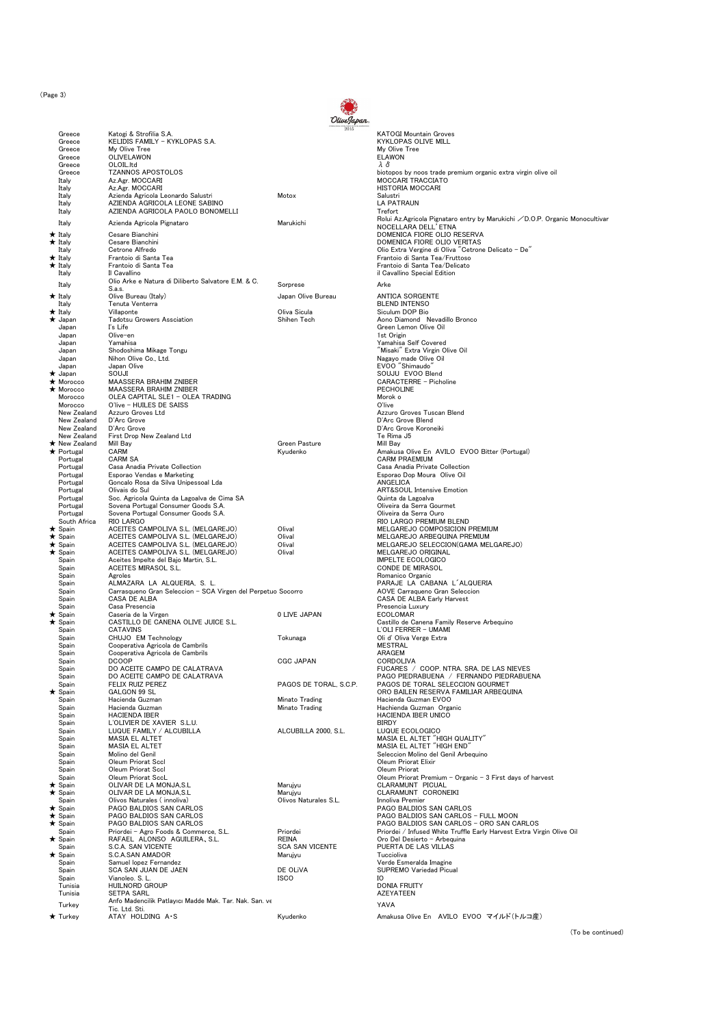(Page 3)

| Greece                            | Katogi & Strofilia S.A.                                                             | OliveJapan.            | <b>KATOGI Mountain Groves</b>                                                                         |
|-----------------------------------|-------------------------------------------------------------------------------------|------------------------|-------------------------------------------------------------------------------------------------------|
| Greece                            | KELIDIS FAMILY - KYKLOPAS S.A.                                                      |                        | KYKLOPAS OLIVE MILL                                                                                   |
| Greece<br>Greece                  | My Olive Tree<br>OLIVELAWON                                                         |                        | My Olive Tree<br><b>ELAWON</b>                                                                        |
| Greece                            | OLOIL.Itd                                                                           |                        | λδ                                                                                                    |
| Greece                            | <b>TZANNOS APOSTOLOS</b>                                                            |                        | biotopos by noos trade premium organic extra virgin olive oil                                         |
| Italy<br>Italy                    | Az.Agr. MOCCARI<br>Az.Agr. MOCCARI                                                  |                        | <b>MOCCARI TRACCIATO</b><br><b>HISTORIA MOCCARI</b>                                                   |
| Italy                             | Azienda Agricola Leonardo Salustri                                                  | Motox                  | Salustri                                                                                              |
| Italy<br>Italy                    | AZIENDA AGRICOLA LEONE SABINO<br>AZIENDA AGRICOLA PAOLO BONOMELLI                   |                        | <b>LA PATRAUN</b><br>Trefort                                                                          |
| Italy                             | Azienda Agricola Pignataro                                                          | Marukichi              | Rolui Az.Agricola Pignataro entry by Marukichi / D.O.P. Organic Monocultivar                          |
| $\star$ Italy                     | Cesare Bianchini                                                                    |                        | NOCELLARA DELL' ETNA<br>DOMENICA FIORE OLIO RESERVA                                                   |
| $\star$ Italy                     | Cesare Bianchini                                                                    |                        | DOMENICA FIORE OLIO VERITAS                                                                           |
| Italy<br>$\star$ Italy            | Cetrone Alfredo<br>Frantoio di Santa Tea                                            |                        | Olio Extra Vergine di Oliva "Cetrone Delicato - De"<br>Frantoio di Santa Tea/Fruttoso                 |
| $\star$ Italy                     | Frantoio di Santa Tea                                                               |                        | Frantoio di Santa Tea/Delicato                                                                        |
| Italy                             | Il Cavallino<br>Olio Arke e Natura di Diliberto Salvatore E.M. & C.                 |                        | il Cavallino Special Edition                                                                          |
| Italy                             | S.a.s.                                                                              | Sorprese               | Arke                                                                                                  |
| $\star$ Italy                     | Olive Bureau (Italy)                                                                | Japan Olive Bureau     | <b>ANTICA SORGENTE</b>                                                                                |
| Italy<br>$\star$ Italy            | Tenuta Venterra<br>Villaponte                                                       | Oliva Sicula           | <b>BLEND INTENSO</b><br>Siculum DOP Bio                                                               |
| ★ Japan                           | <b>Tadotsu Growers Assciation</b>                                                   | Shihen Tech            | Aono Diamond Nevadillo Bronco                                                                         |
| Japan<br>Japan                    | I's Life<br>Olive-en                                                                |                        | Green Lemon Olive Oil<br>1st Origin                                                                   |
| Japan                             | Yamahisa                                                                            |                        | Yamahisa Self Covered                                                                                 |
| Japan<br>Japan                    | Shodoshima Mikage Tongu<br>Nihon Olive Co., Ltd.                                    |                        | "Misaki" Extra Virgin Olive Oil<br>Nagavo made Olive Oil                                              |
| Japan                             | Japan Olive                                                                         |                        | EVOO "Shimaudo"                                                                                       |
| $\bigstar$ Japan<br>★ Morocco     | SOUJI<br>MAASSERA BRAHIM ZNIBER                                                     |                        | SOUJU EVOO Blend<br><b>CARACTERRE - Picholine</b>                                                     |
| $\star$ Morocco                   | <b>MAASSERA BRAHIM ZNIBER</b>                                                       |                        | PECHOLINE                                                                                             |
| Morocco<br>Morocco                | OLEA CAPITAL SLE1 - OLEA TRADING<br>O'live - HUILES DE SAISS                        |                        | Morok o<br>O'live                                                                                     |
| New Zealand                       | Azzuro Groves Ltd                                                                   |                        | Azzuro Groves Tuscan Blend                                                                            |
| New Zealand<br>New Zealand        | D'Arc Grove<br>D'Arc Grove                                                          |                        | D'Arc Grove Blend<br>D'Arc Grove Koroneiki                                                            |
| New Zealand                       | First Drop New Zealand Ltd                                                          |                        | Te Rima J5                                                                                            |
| ★ New Zealand                     | Mill Bay                                                                            | Green Pasture          | Mill Bav<br>Amakusa Olive En AVILO EVOO Bitter (Portugal)                                             |
| ★ Portugal<br>Portugal            | CARM<br><b>CARM SA</b>                                                              | Kyudenko               | <b>CARM PRAEMIUM</b>                                                                                  |
| Portugal                          | Casa Anadia Private Collection                                                      |                        | Casa Anadia Private Collection                                                                        |
| Portugal<br>Portugal              | Esporao Vendas e Marketing<br>Goncalo Rosa da Silva Unipessoal Lda                  |                        | Esporao Dop Moura Olive Oil<br>ANGELICA                                                               |
| Portugal                          | Olivais do Sul                                                                      |                        | <b>ART&amp;SOUL Intensive Emotion</b>                                                                 |
| Portugal<br>Portugal              | Soc. Agricola Quinta da Lagoalva de Cima SA<br>Sovena Portugal Consumer Goods S.A.  |                        | Quinta da Lagoalva<br>Oliveira da Serra Gourmet                                                       |
| Portugal                          | Sovena Portugal Consumer Goods S.A.                                                 |                        | Oliveira da Serra Ouro                                                                                |
| South Africa<br>$\star$ Spain     | <b>RIO LARGO</b><br>ACEITES CAMPOLIVA S.L. (MELGAREJO)                              | Olival                 | RIO LARGO PREMIUM BLEND<br>MELGAREJO COMPOSICION PREMIUM                                              |
| $\star$ Spain                     | ACEITES CAMPOLIVA S.L. (MELGAREJO)                                                  | Olival                 | MELGAREJO ARBEQUINA PREMIUM                                                                           |
| $\star$ Spain<br>$\star$ Spain    | ACEITES CAMPOLIVA S.L. (MELGAREJO)<br>ACEITES CAMPOLIVA S.L. (MELGAREJO)            | Olival<br>Olival       | MELGAREJO SELECCION(GAMA MELGAREJO)<br>MELGAREJO ORIGINAL                                             |
| Spain                             | Aceites Impelte del Bajo Martin, S.L.                                               |                        | <b>IMPELTE ECOLOGICO</b>                                                                              |
| Spain<br>Spain                    | ACEITES MIRASOL S.L.<br>Agroles                                                     |                        | CONDE DE MIRASOL<br>Romanico Organic                                                                  |
| Spain                             | ALMAZARA LA ALQUERIA, S. L.                                                         |                        | PARAJE LA CABANA L'ALQUERIA                                                                           |
| Spain<br>Spain                    | Carrasqueno Gran Seleccion - SCA Virgen del Perpetuo Socorro<br><b>CASA DE ALBA</b> |                        | AOVE Carraqueno Gran Seleccion<br>CASA DE ALBA Early Harvest                                          |
| Spain                             | Casa Presencia                                                                      |                        | Presencia Luxury                                                                                      |
| $\star$ Spain<br>$\star$ Spain    | Caseria de la Virgen<br>CASTILLO DE CANENA OLIVE JUICE S.L.                         | 0 LIVE JAPAN           | <b>ECOLOMAR</b><br>Castillo de Canena Family Reserve Arbequino                                        |
| Spain                             | <b>CATAVINS</b>                                                                     |                        | L'OLI FERRER - UMAMI                                                                                  |
| Spain                             | CHUJO EM Technology<br>Cooperativa Agricola de Cambrils                             | Tokunaga               | Oli d' Oliva Verge Extra                                                                              |
| Spain<br>Spain                    | Cooperativa Agricola de Cambrils                                                    |                        | MESTRAL<br>ARAGEM                                                                                     |
| Spain                             | <b>DCOOP</b>                                                                        | <b>CGC JAPAN</b>       | CORDOLIVA                                                                                             |
| Spain<br>Spain                    | DO ACEITE CAMPO DE CALATRAVA<br>DO ACEITE CAMPO DE CALATRAVA                        |                        | FUCARES / COOP. NTRA. SRA. DE LAS NIEVES<br>PAGO PIEDRABUENA / FERNANDO PIEDRABUENA                   |
| Spain                             | FELIX RUIZ PEREZ                                                                    | PAGOS DE TORAL, S.C.P. | PAGOS DE TORAL SELECCION GOURMET                                                                      |
| $\bigstar$ Spain<br>Spain         | <b>GALGON 99 SL</b><br>Hacienda Guzman                                              | Minato Trading         | ORO BAILEN RESERVA FAMILIAR ARBEQUINA<br>Hacienda Guzman EVOO                                         |
| Spain                             | Hacienda Guzman                                                                     | Minato Trading         | Hachienda Guzman Organic                                                                              |
| Spain<br>Spain                    | <b>HACIENDA IBER</b><br>L'OLIVIER DE XAVIER S.L.U.                                  |                        | HACIENDA IBER UNICO<br><b>BIRDY</b>                                                                   |
| Spain                             | LUQUE FAMILY / ALCUBILLA                                                            | ALCUBILLA 2000, S.L.   | LUQUE ECOLOGICO                                                                                       |
| Spain<br>Spain                    | <b>MASIA EL ALTET</b><br><b>MASIA EL ALTET</b>                                      |                        | MASIA EL ALTET "HIGH QUALITY"<br>MASIA EL ALTET "HIGH END"                                            |
| Spain                             | Molino del Genil                                                                    |                        | Seleccion Molino del Genil Arbequino                                                                  |
| Spain<br>Spain                    | Oleum Priorat Sccl<br>Oleum Priorat Sccl                                            |                        | Oleum Priorat Elixir<br>Oleum Priorat                                                                 |
| Spain                             | Oleum Priorat SccL                                                                  |                        | Oleum Priorat Premium - Organic - 3 First days of harvest                                             |
| $\star$ Spain<br>$\star$ Spain    | OLIVAR DE LA MONJA.S.L<br>OLIVAR DE LA MONJA,S.L                                    | Marujyu<br>Marujyu     | CLARAMUNT PICUAL<br>CLARAMUNT CORONEIKI                                                               |
| Spain                             | Olivos Naturales (innoliva)                                                         | Olivos Naturales S.L.  | Innoliva Premier                                                                                      |
| $\star$ Spain<br>$\bigstar$ Spain | PAGO BALDIOS SAN CARLOS<br>PAGO BALDIOS SAN CARLOS                                  |                        | PAGO BALDIOS SAN CARLOS<br>PAGO BALDIOS SAN CARLOS - FULL MOON                                        |
| $\bigstar$ Spain                  | PAGO BALDIOS SAN CARLOS                                                             |                        | PAGO BALDIOS SAN CARLOS - ORO SAN CARLOS                                                              |
| Spain<br>$\star$ Spain            | Priordei - Agro Foods & Commerce, S.L.<br>RAFAEL ALONSO AGUILERA, S.L.              | Priordei<br>REINA      | Priordei / Infused White Truffle Early Harvest Extra Virgin Olive Oil<br>Oro Del Desierto - Arbeguina |
| Spain                             | S.C.A. SAN VICENTE                                                                  | <b>SCA SAN VICENTE</b> | PUERTA DE LAS VILLAS                                                                                  |
| $\star$ Spain                     | S.C.A.SAN AMADOR                                                                    | Marujyu                | Tuccioliva                                                                                            |
| Spain<br>Spain                    | Samuel lopez Fernandez<br>SCA SAN JUAN DE JAEN                                      | DE OLIVA               | Verde Esmeralda Imagine<br>SUPREMO Variedad Picual                                                    |
| Spain                             | Vianoleo, S. L.                                                                     | <b>ISCO</b>            | IО                                                                                                    |
| Tunisia<br>Tunisia                | <b>HUILNORD GROUP</b><br><b>SETPA SARL</b>                                          |                        | <b>DONIA FRUITY</b><br>AZEYATEEN                                                                      |
| Turkey                            | Anfo Madencilik Patlayıcı Madde Mak. Tar. Nak. San. ve                              |                        | YAVA                                                                                                  |
| $\bigstar$ Turkey                 | Tic. Ltd. Sti.<br>ATAY HOLDING A.S.                                                 | Kyudenko               | Amakusa Olive En AVILO EVOO マイルド(トルコ産)                                                                |
|                                   |                                                                                     |                        |                                                                                                       |
|                                   |                                                                                     |                        | (To be conti                                                                                          |

(To be continued)